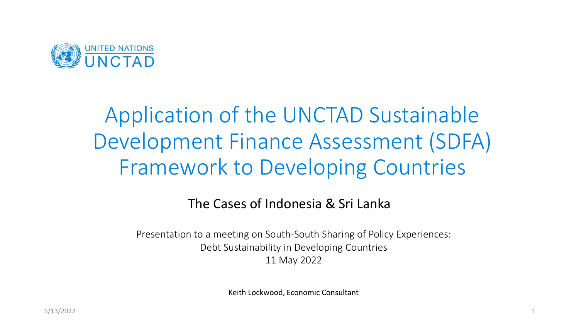

# Application of the UNCTAD Sustainable Development Finance Assessment (SDFA) Framework to Developing Countries

#### The Cases of Indonesia & Sri Lanka

Presentation to a meeting on South-South Sharing of Policy Experiences: Debt Sustainability in Developing Countries 11 May 2022

Keith Lockwood, Economic Consultant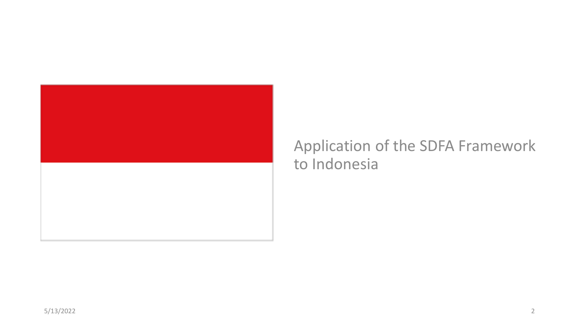

## Application of the SDFA Framework to Indonesia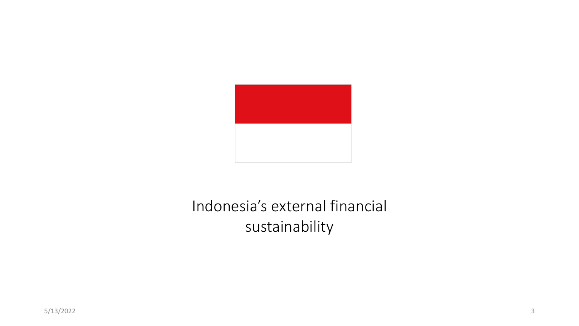

## Indonesia's external financial sustainability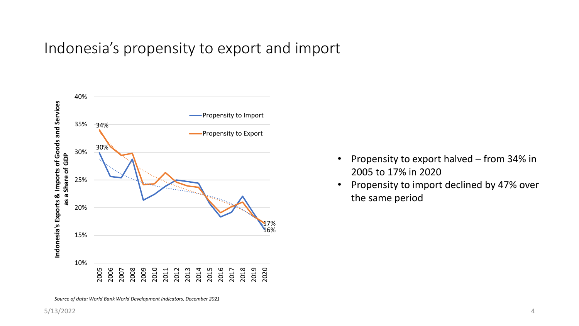#### Indonesia's propensity to export and import



- Propensity to export halved from 34% in 2005 to 17% in 2020
- Propensity to import declined by 47% over the same period

*Source of data: World Bank World Development Indicators, December 2021*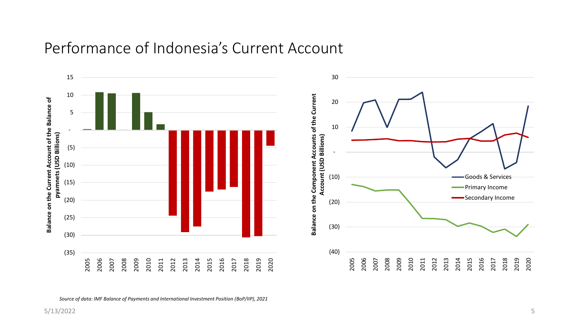#### Performance of Indonesia's Current Account



*Source of data: IMF Balance of Payments and International Investment Position (BoP/IIP), 2021*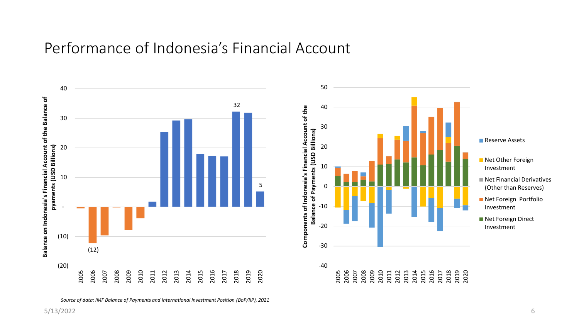#### Performance of Indonesia's Financial Account



*Source of data: IMF Balance of Payments and International Investment Position (BoP/IIP), 2021*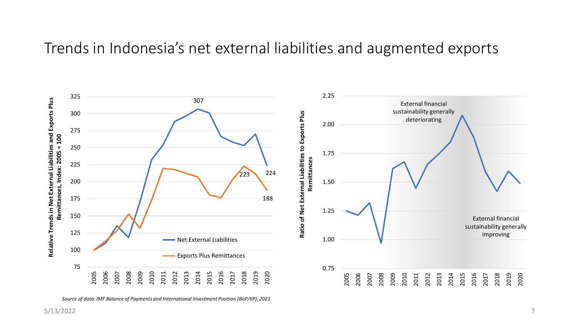#### Trends in Indonesia's net external liabilities and augmented exports



*Source of data: IMF Balance of Payments and International Investment Position (BoP/IIP), 2021*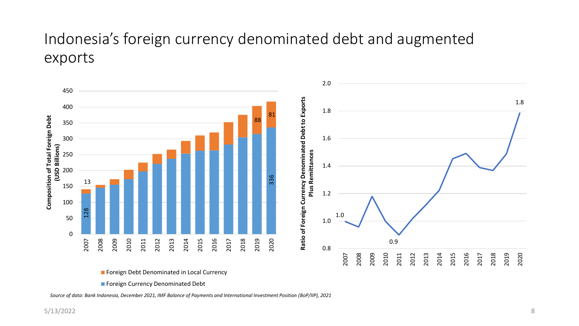## Indonesia's foreign currency denominated debt and augmented exports



**Foreign Debt Denominated in Local Currency** 

**Foreign Currency Denominated Debt** 

*Source of data: Bank Indonesia, December 2021, IMF Balance of Payments and International Investment Position (BoP/IIP), 2021*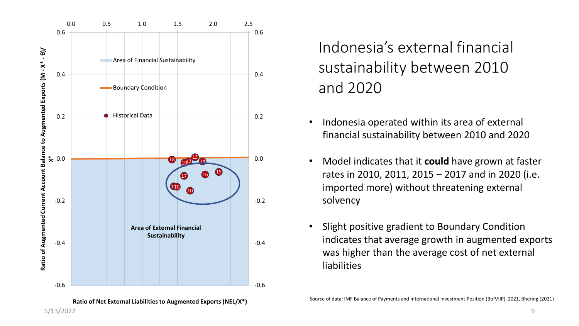

**Ratio of Net External Liabilities to Augmented Exports (NEL/X\*)**

Indonesia's external financial sustainability between 2010 and 2020

- Indonesia operated within its area of external financial sustainability between 2010 and 2020
- Model indicates that it **could** have grown at faster rates in 2010, 2011, 2015 – 2017 and in 2020 (i.e. imported more) without threatening external solvency
- Slight positive gradient to Boundary Condition indicates that average growth in augmented exports was higher than the average cost of net external liabilities

Source of data: IMF Balance of Payments and International Investment Position (BoP/IIP), 2021, Bhering (2021)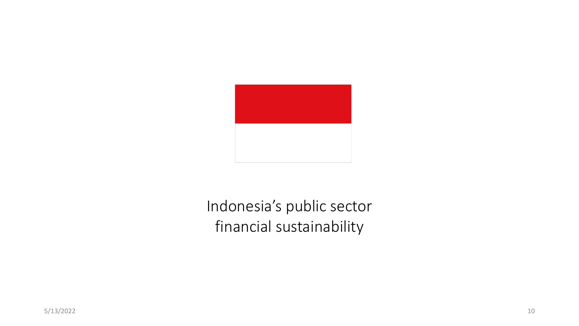

## Indonesia's public sector financial sustainability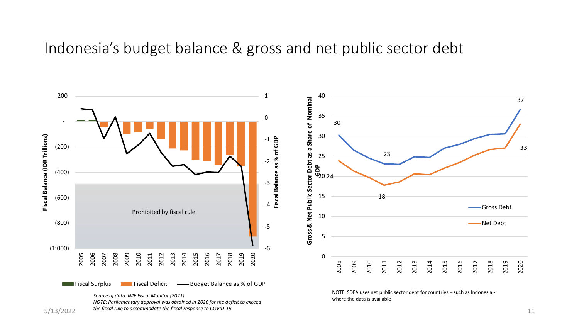#### Indonesia's budget balance & gross and net public sector debt

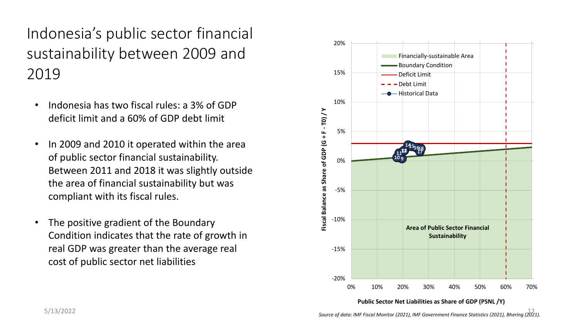Indonesia's public sector financial sustainability between 2009 and 2019

- Indonesia has two fiscal rules: a 3% of GDP deficit limit and a 60% of GDP debt limit
- In 2009 and 2010 it operated within the area of public sector financial sustainability. Between 2011 and 2018 it was slightly outside the area of financial sustainability but was compliant with its fiscal rules.
- The positive gradient of the Boundary Condition indicates that the rate of growth in real GDP was greater than the average real cost of public sector net liabilities

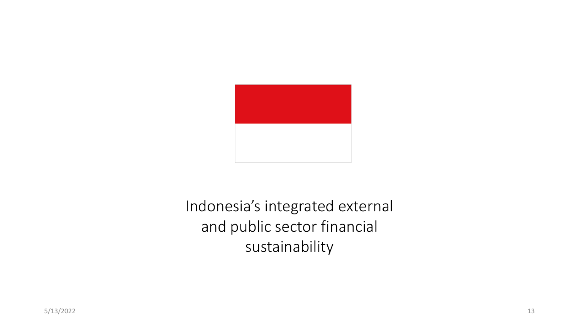

Indonesia's integrated external and public sector financial sustainability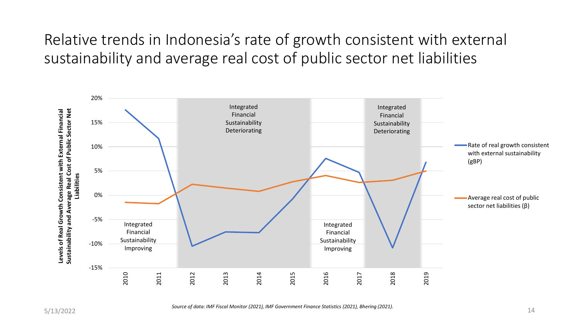Relative trends in Indonesia's rate of growth consistent with external sustainability and average real cost of public sector net liabilities



*Source of data: IMF Fiscal Monitor (2021), IMF Government Finance Statistics (2021), Bhering (2021).*  $5/13/2022$   $\hspace{2cm}$   $\hspace{2cm}$   $\hspace{2cm}$   $\hspace{2cm}$   $\hspace{2cm}$   $\hspace{2cm}$   $\hspace{2cm}$   $\hspace{2cm}$   $\hspace{2cm}$   $\hspace{2cm}$   $\hspace{2cm}$   $\hspace{2cm}$   $\hspace{2cm}$   $\hspace{2cm}$   $\hspace{2cm}$   $\hspace{2cm}$   $\hspace{2cm}$   $\hspace{2cm}$   $\hspace{2cm}$   $\hspace{2cm}$   $\hspace{2cm}$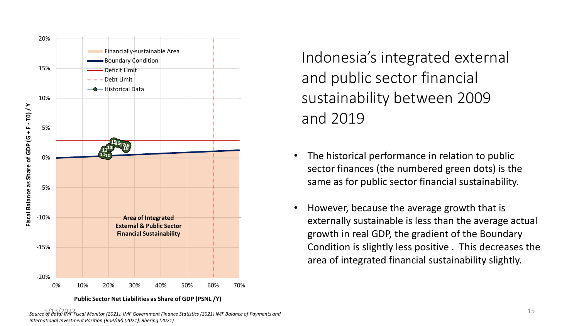

**Public Sector Net Liabilities as Share of GDP (PSNL /Y)**

Indonesia's integrated external and public sector financial sustainability between 2009 and 2019

- The historical performance in relation to public sector finances (the numbered green dots) is the same as for public sector financial sustainability.
- However, because the average growth that is externally sustainable is less than the average actual growth in real GDP, the gradient of the Boundary Condition is slightly less positive . This decreases the area of integrated financial sustainability slightly.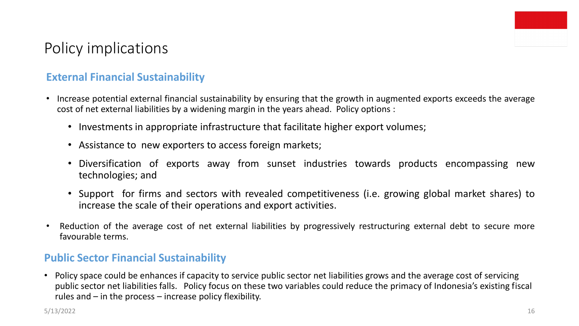

### Policy implications

#### **External Financial Sustainability**

- Increase potential external financial sustainability by ensuring that the growth in augmented exports exceeds the average cost of net external liabilities by a widening margin in the years ahead. Policy options :
	- Investments in appropriate infrastructure that facilitate higher export volumes;
	- Assistance to new exporters to access foreign markets;
	- Diversification of exports away from sunset industries towards products encompassing new technologies; and
	- Support for firms and sectors with revealed competitiveness (i.e. growing global market shares) to increase the scale of their operations and export activities.
- Reduction of the average cost of net external liabilities by progressively restructuring external debt to secure more favourable terms.

#### **Public Sector Financial Sustainability**

• Policy space could be enhances if capacity to service public sector net liabilities grows and the average cost of servicing public sector net liabilities falls. Policy focus on these two variables could reduce the primacy of Indonesia's existing fiscal rules and – in the process – increase policy flexibility.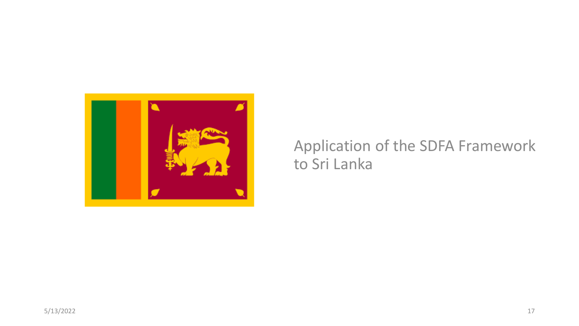

### Application of the SDFA Framework to Sri Lanka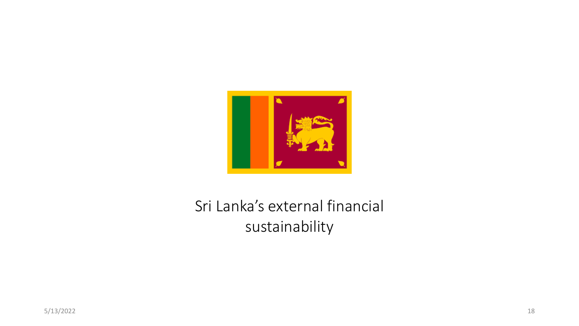

## Sri Lanka's external financial sustainability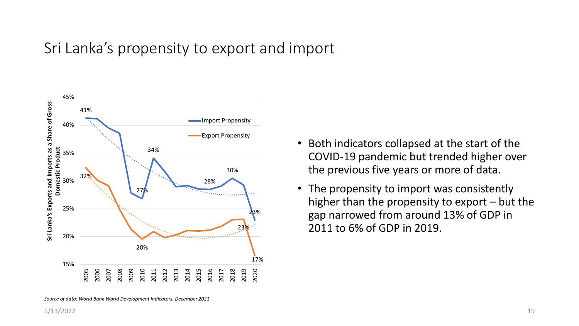### Sri Lanka's propensity to export and import



- Both indicators collapsed at the start of the COVID-19 pandemic but trended higher over the previous five years or more of data.
- The propensity to import was consistently higher than the propensity to export – but the gap narrowed from around 13% of GDP in 2011 to 6% of GDP in 2019.

*Source of data: World Bank World Development Indicators, December 2021*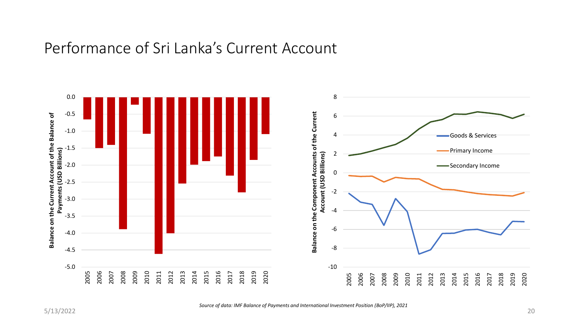#### Performance of Sri Lanka's Current Account



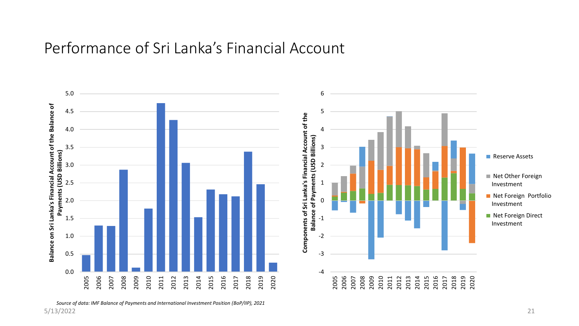#### Performance of Sri Lanka's Financial Account

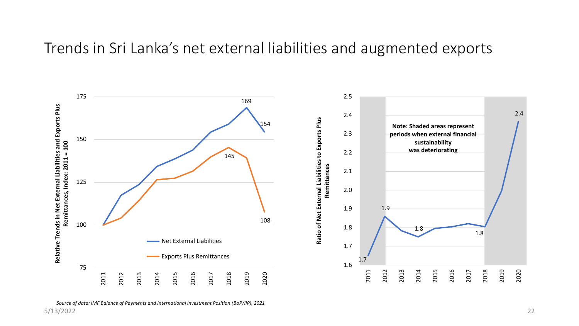#### Trends in Sri Lanka's net external liabilities and augmented exports



*Source of data: IMF Balance of Payments and International Investment Position (BoP/IIP), 2021* 5/13/2022 22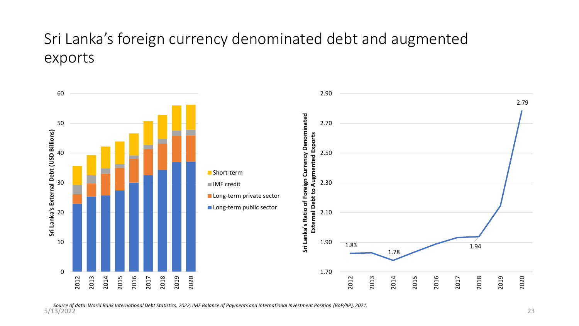### Sri Lanka's foreign currency denominated debt and augmented exports

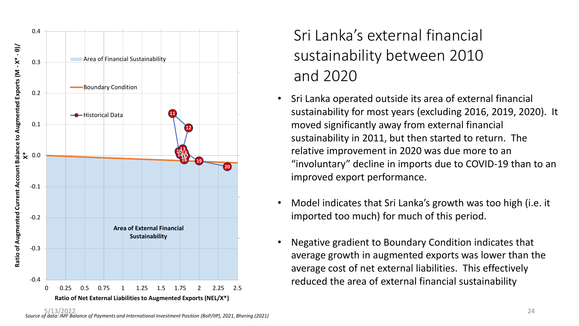

## Sri Lanka's external financial sustainability between 2010 and 2020

- Sri Lanka operated outside its area of external financial sustainability for most years (excluding 2016, 2019, 2020). It moved significantly away from external financial sustainability in 2011, but then started to return. The relative improvement in 2020 was due more to an "involuntary" decline in imports due to COVID-19 than to an improved export performance.
- Model indicates that Sri Lanka's growth was too high (i.e. it imported too much) for much of this period.
- Negative gradient to Boundary Condition indicates that average growth in augmented exports was lower than the average cost of net external liabilities. This effectively reduced the area of external financial sustainability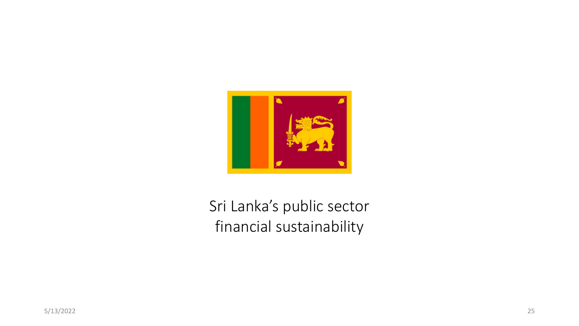

## Sri Lanka's public sector financial sustainability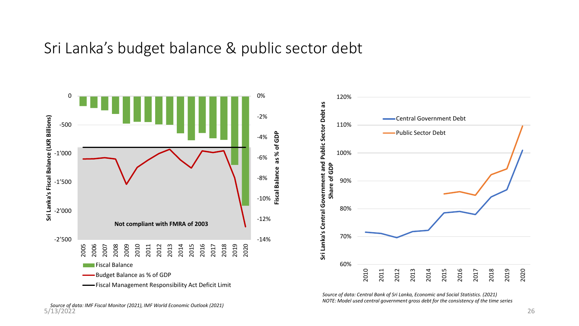#### Sri Lanka's budget balance & public sector debt





*Source of data: Central Bank of Sri Lanka, Economic and Social Statistics. (2021) NOTE: Model used central government gross debt for the consistency of the time series*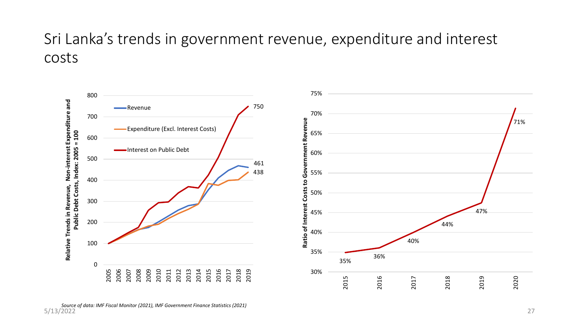### Sri Lanka's trends in government revenue, expenditure and interest costs

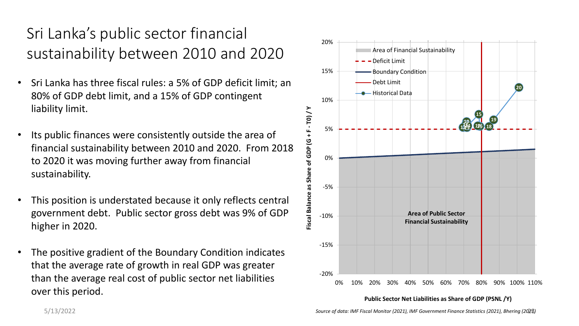## Sri Lanka's public sector financial sustainability between 2010 and 2020

- Sri Lanka has three fiscal rules: a 5% of GDP deficit limit; an 80% of GDP debt limit, and a 15% of GDP contingent liability limit.
- Its public finances were consistently outside the area of financial sustainability between 2010 and 2020. From 2018 to 2020 it was moving further away from financial sustainability.
- This position is understated because it only reflects central government debt. Public sector gross debt was 9% of GDP higher in 2020.
- The positive gradient of the Boundary Condition indicates that the average rate of growth in real GDP was greater than the average real cost of public sector net liabilities over this period.



**Public Sector Net Liabilities as Share of GDP (PSNL /Y)**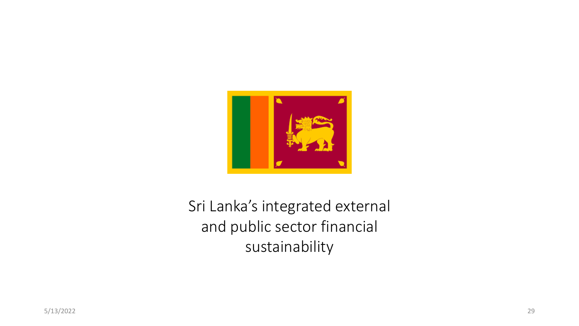

Sri Lanka's integrated external and public sector financial sustainability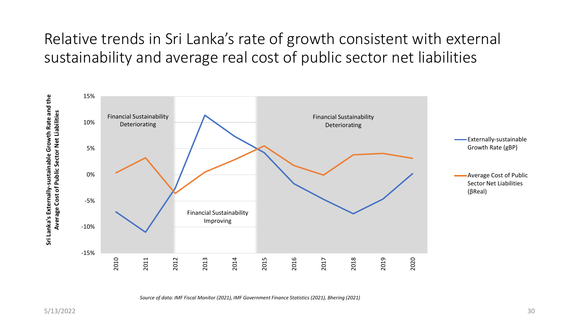## Relative trends in Sri Lanka's rate of growth consistent with external sustainability and average real cost of public sector net liabilities



*Source of data: IMF Fiscal Monitor (2021), IMF Government Finance Statistics (2021), Bhering (2021)*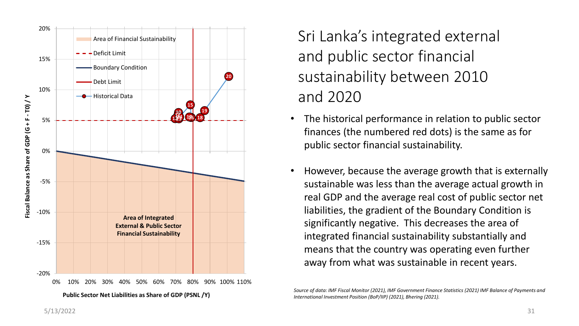

Sri Lanka's integrated external and public sector financial sustainability between 2010 and 2020

- The historical performance in relation to public sector finances (the numbered red dots) is the same as for public sector financial sustainability.
- However, because the average growth that is externally sustainable was less than the average actual growth in real GDP and the average real cost of public sector net liabilities, the gradient of the Boundary Condition is significantly negative. This decreases the area of integrated financial sustainability substantially and means that the country was operating even further away from what was sustainable in recent years.

*Source of data: IMF Fiscal Monitor (2021), IMF Government Finance Statistics (2021) IMF Balance of Payments and International Investment Position (BoP/IIP) (2021), Bhering (2021).*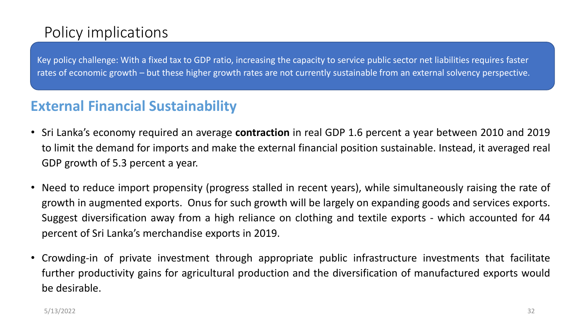## Policy implications

Key policy challenge: With a fixed tax to GDP ratio, increasing the capacity to service public sector net liabilities requires faster rates of economic growth – but these higher growth rates are not currently sustainable from an external solvency perspective.

#### **External Financial Sustainability**

- Sri Lanka's economy required an average **contraction** in real GDP 1.6 percent a year between 2010 and 2019 to limit the demand for imports and make the external financial position sustainable. Instead, it averaged real GDP growth of 5.3 percent a year.
- Need to reduce import propensity (progress stalled in recent years), while simultaneously raising the rate of growth in augmented exports. Onus for such growth will be largely on expanding goods and services exports. Suggest diversification away from a high reliance on clothing and textile exports - which accounted for 44 percent of Sri Lanka's merchandise exports in 2019.
- Crowding-in of private investment through appropriate public infrastructure investments that facilitate further productivity gains for agricultural production and the diversification of manufactured exports would be desirable.